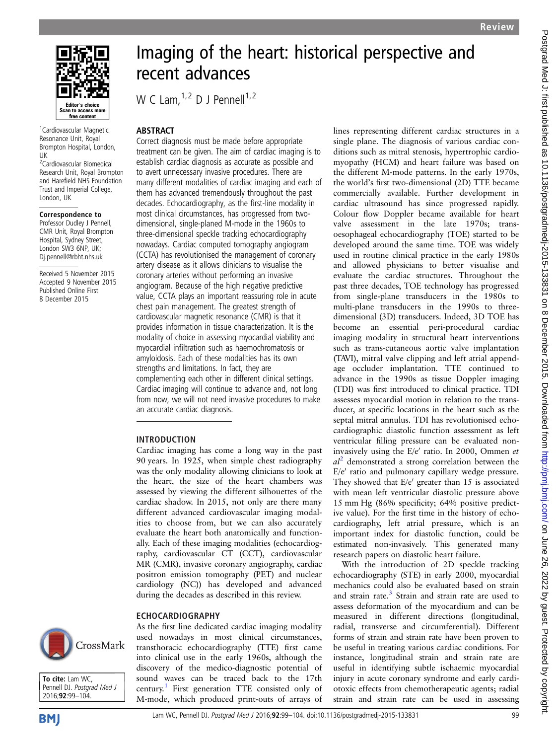



1 Cardiovascular Magnetic Resonance Unit, Royal Brompton Hospital, London, UK

2 Cardiovascular Biomedical Research Unit, Royal Brompton and Harefield NHS Foundation Trust and Imperial College, London, UK

#### Correspondence to

Professor Dudley J Pennell, CMR Unit, Royal Brompton Hospital, Sydney Street, London SW<sub>3</sub> 6NP, UK; Dj.pennell@rbht.nhs.uk

Received 5 November 2015 Accepted 9 November 2015 Published Online First 8 December 2015

# Imaging of the heart: historical perspective and recent advances

W C Lam,  $1,2$  D J Pennell $1,2$ 

#### ABSTRACT

Correct diagnosis must be made before appropriate treatment can be given. The aim of cardiac imaging is to establish cardiac diagnosis as accurate as possible and to avert unnecessary invasive procedures. There are many different modalities of cardiac imaging and each of them has advanced tremendously throughout the past decades. Echocardiography, as the first-line modality in most clinical circumstances, has progressed from twodimensional, single-planed M-mode in the 1960s to three-dimensional speckle tracking echocardiography nowadays. Cardiac computed tomography angiogram (CCTA) has revolutionised the management of coronary artery disease as it allows clinicians to visualise the coronary arteries without performing an invasive angiogram. Because of the high negative predictive value, CCTA plays an important reassuring role in acute chest pain management. The greatest strength of cardiovascular magnetic resonance (CMR) is that it provides information in tissue characterization. It is the modality of choice in assessing myocardial viability and myocardial infiltration such as haemochromatosis or amyloidosis. Each of these modalities has its own strengths and limitations. In fact, they are complementing each other in different clinical settings. Cardiac imaging will continue to advance and, not long from now, we will not need invasive procedures to make an accurate cardiac diagnosis.

#### INTRODUCTION

Cardiac imaging has come a long way in the past 90 years. In 1925, when simple chest radiography was the only modality allowing clinicians to look at the heart, the size of the heart chambers was assessed by viewing the different silhouettes of the cardiac shadow. In 2015, not only are there many different advanced cardiovascular imaging modalities to choose from, but we can also accurately evaluate the heart both anatomically and functionally. Each of these imaging modalities (echocardiography, cardiovascular CT (CCT), cardiovascular MR (CMR), invasive coronary angiography, cardiac positron emission tomography (PET) and nuclear cardiology (NC)) has developed and advanced during the decades as described in this review.

#### ECHOCARDIOGRAPHY

As the first line dedicated cardiac imaging modality used nowadays in most clinical circumstances, transthoracic echocardiography (TTE) first came into clinical use in the early 1960s, although the discovery of the medico-diagnostic potential of sound waves can be traced back to the 17th century.[1](#page-4-0) First generation TTE consisted only of M-mode, which produced print-outs of arrays of

lines representing different cardiac structures in a single plane. The diagnosis of various cardiac conditions such as mitral stenosis, hypertrophic cardiomyopathy (HCM) and heart failure was based on the different M-mode patterns. In the early 1970s, the world's first two-dimensional (2D) TTE became commercially available. Further development in cardiac ultrasound has since progressed rapidly. Colour flow Doppler became available for heart valve assessment in the late 1970s; transoesophageal echocardiography (TOE) started to be developed around the same time. TOE was widely used in routine clinical practice in the early 1980s and allowed physicians to better visualise and evaluate the cardiac structures. Throughout the past three decades, TOE technology has progressed from single-plane transducers in the 1980s to multi-plane transducers in the 1990s to threedimensional (3D) transducers. Indeed, 3D TOE has become an essential peri-procedural cardiac imaging modality in structural heart interventions such as trans-cutaneous aortic valve implantation (TAVI), mitral valve clipping and left atrial appendage occluder implantation. TTE continued to advance in the 1990s as tissue Doppler imaging (TDI) was first introduced to clinical practice. TDI assesses myocardial motion in relation to the transducer, at specific locations in the heart such as the septal mitral annulus. TDI has revolutionised echocardiographic diastolic function assessment as left ventricular filling pressure can be evaluated noninvasively using the  $E/e'$  ratio. In 2000, Ommen et  $al^2$  $al^2$  demonstrated a strong correlation between the  $E/e'$  ratio and pulmonary capillary wedge pressure. They showed that  $E/e'$  greater than 15 is associated with mean left ventricular diastolic pressure above 15 mm Hg (86% specificity; 64% positive predictive value). For the first time in the history of echocardiography, left atrial pressure, which is an important index for diastolic function, could be estimated non-invasively. This generated many research papers on diastolic heart failure.

With the introduction of 2D speckle tracking echocardiography (STE) in early 2000, myocardial mechanics could also be evaluated based on strain and strain rate.<sup>[3](#page-4-0)</sup> Strain and strain rate are used to assess deformation of the myocardium and can be measured in different directions (longitudinal, radial, transverse and circumferential). Different forms of strain and strain rate have been proven to be useful in treating various cardiac conditions. For instance, longitudinal strain and strain rate are useful in identifying subtle ischaemic myocardial injury in acute coronary syndrome and early cardiotoxic effects from chemotherapeutic agents; radial strain and strain rate can be used in assessing



To cite: Lam WC, Pennell DJ. Postgrad Med J 2016;92:99–104.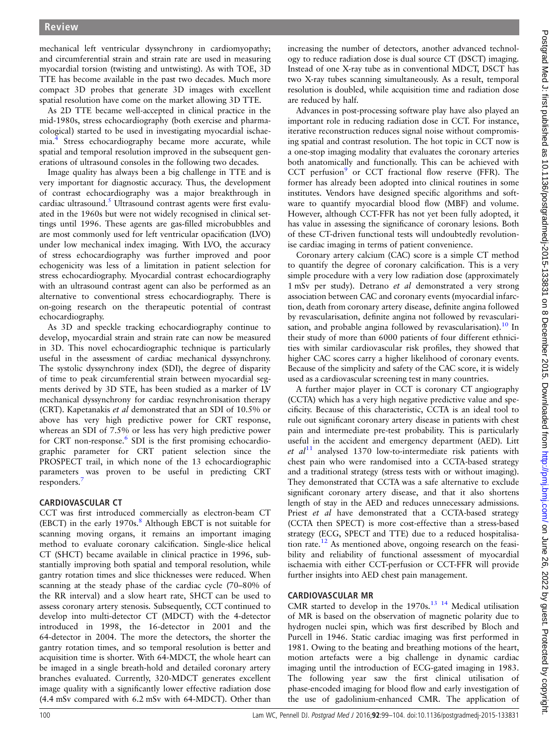mechanical left ventricular dyssynchrony in cardiomyopathy; and circumferential strain and strain rate are used in measuring myocardial torsion (twisting and untwisting). As with TOE, 3D TTE has become available in the past two decades. Much more compact 3D probes that generate 3D images with excellent spatial resolution have come on the market allowing 3D TTE.

As 2D TTE became well-accepted in clinical practice in the mid-1980s, stress echocardiography (both exercise and pharmacological) started to be used in investigating myocardial ischaemia.[4](#page-4-0) Stress echocardiography became more accurate, while spatial and temporal resolution improved in the subsequent generations of ultrasound consoles in the following two decades.

Image quality has always been a big challenge in TTE and is very important for diagnostic accuracy. Thus, the development of contrast echocardiography was a major breakthrough in cardiac ultrasound. $5$  Ultrasound contrast agents were first evaluated in the 1960s but were not widely recognised in clinical settings until 1996. These agents are gas-filled microbubbles and are most commonly used for left ventricular opacification (LVO) under low mechanical index imaging. With LVO, the accuracy of stress echocardiography was further improved and poor echogenicity was less of a limitation in patient selection for stress echocardiography. Myocardial contrast echocardiography with an ultrasound contrast agent can also be performed as an alternative to conventional stress echocardiography. There is on-going research on the therapeutic potential of contrast echocardiography.

As 3D and speckle tracking echocardiography continue to develop, myocardial strain and strain rate can now be measured in 3D. This novel echocardiographic technique is particularly useful in the assessment of cardiac mechanical dyssynchrony. The systolic dyssynchrony index (SDI), the degree of disparity of time to peak circumferential strain between myocardial segments derived by 3D STE, has been studied as a marker of LV mechanical dyssynchrony for cardiac resynchronisation therapy (CRT). Kapetanakis et al demonstrated that an SDI of 10.5% or above has very high predictive power for CRT response, whereas an SDI of 7.5% or less has very high predictive power for CRT non-response.<sup>[6](#page-4-0)</sup> SDI is the first promising echocardiographic parameter for CRT patient selection since the PROSPECT trail, in which none of the 13 echocardiographic parameters was proven to be useful in predicting CRT responders.<sup>[7](#page-4-0)</sup>

## CARDIOVASCULAR CT

CCT was first introduced commercially as electron-beam CT (EBCT) in the early  $1970s$ .<sup>[8](#page-4-0)</sup> Although EBCT is not suitable for scanning moving organs, it remains an important imaging method to evaluate coronary calcification. Single-slice helical CT (SHCT) became available in clinical practice in 1996, substantially improving both spatial and temporal resolution, while gantry rotation times and slice thicknesses were reduced. When scanning at the steady phase of the cardiac cycle (70–80% of the RR interval) and a slow heart rate, SHCT can be used to assess coronary artery stenosis. Subsequently, CCT continued to develop into multi-detector CT (MDCT) with the 4-detector introduced in 1998, the 16-detector in 2001 and the 64-detector in 2004. The more the detectors, the shorter the gantry rotation times, and so temporal resolution is better and acquisition time is shorter. With 64-MDCT, the whole heart can be imaged in a single breath-hold and detailed coronary artery branches evaluated. Currently, 320-MDCT generates excellent image quality with a significantly lower effective radiation dose (4.4 mSv compared with 6.2 mSv with 64-MDCT). Other than

increasing the number of detectors, another advanced technology to reduce radiation dose is dual source CT (DSCT) imaging. Instead of one X-ray tube as in conventional MDCT, DSCT has two X-ray tubes scanning simultaneously. As a result, temporal resolution is doubled, while acquisition time and radiation dose are reduced by half.

Advances in post-processing software play have also played an important role in reducing radiation dose in CCT. For instance, iterative reconstruction reduces signal noise without compromising spatial and contrast resolution. The hot topic in CCT now is a one-stop imaging modality that evaluates the coronary arteries both anatomically and functionally. This can be achieved with CCT perfusion<sup>[9](#page-5-0)</sup> or CCT fractional flow reserve (FFR). The former has already been adopted into clinical routines in some institutes. Vendors have designed specific algorithms and software to quantify myocardial blood flow (MBF) and volume. However, although CCT-FFR has not yet been fully adopted, it has value in assessing the significance of coronary lesions. Both of these CT-driven functional tests will undoubtedly revolutionise cardiac imaging in terms of patient convenience.

Coronary artery calcium (CAC) score is a simple CT method to quantify the degree of coronary calcification. This is a very simple procedure with a very low radiation dose (approximately 1 mSv per study). Detrano et al demonstrated a very strong association between CAC and coronary events (myocardial infarction, death from coronary artery disease, definite angina followed by revascularisation, definite angina not followed by revascularisation, and probable angina followed by revascularisation).<sup>10</sup> In their study of more than 6000 patients of four different ethnicities with similar cardiovascular risk profiles, they showed that higher CAC scores carry a higher likelihood of coronary events. Because of the simplicity and safety of the CAC score, it is widely used as a cardiovascular screening test in many countries.

A further major player in CCT is coronary CT angiography (CCTA) which has a very high negative predictive value and specificity. Because of this characteristic, CCTA is an ideal tool to rule out significant coronary artery disease in patients with chest pain and intermediate pre-test probability. This is particularly useful in the accident and emergency department (AED). Litt et  $al^{11}$  $al^{11}$  $al^{11}$  analysed 1370 low-to-intermediate risk patients with chest pain who were randomised into a CCTA-based strategy and a traditional strategy (stress tests with or without imaging). They demonstrated that CCTA was a safe alternative to exclude significant coronary artery disease, and that it also shortens length of stay in the AED and reduces unnecessary admissions. Priest et al have demonstrated that a CCTA-based strategy (CCTA then SPECT) is more cost-effective than a stress-based strategy (ECG, SPECT and TTE) due to a reduced hospitalisa-tion rate.<sup>[12](#page-5-0)</sup> As mentioned above, ongoing research on the feasibility and reliability of functional assessment of myocardial ischaemia with either CCT-perfusion or CCT-FFR will provide further insights into AED chest pain management.

## CARDIOVASCULAR MR

CMR started to develop in the 1970s.<sup>13</sup> <sup>14</sup> Medical utilisation of MR is based on the observation of magnetic polarity due to hydrogen nuclei spin, which was first described by Bloch and Purcell in 1946. Static cardiac imaging was first performed in 1981. Owing to the beating and breathing motions of the heart, motion artefacts were a big challenge in dynamic cardiac imaging until the introduction of ECG-gated imaging in 1983. The following year saw the first clinical utilisation of phase-encoded imaging for blood flow and early investigation of the use of gadolinium-enhanced CMR. The application of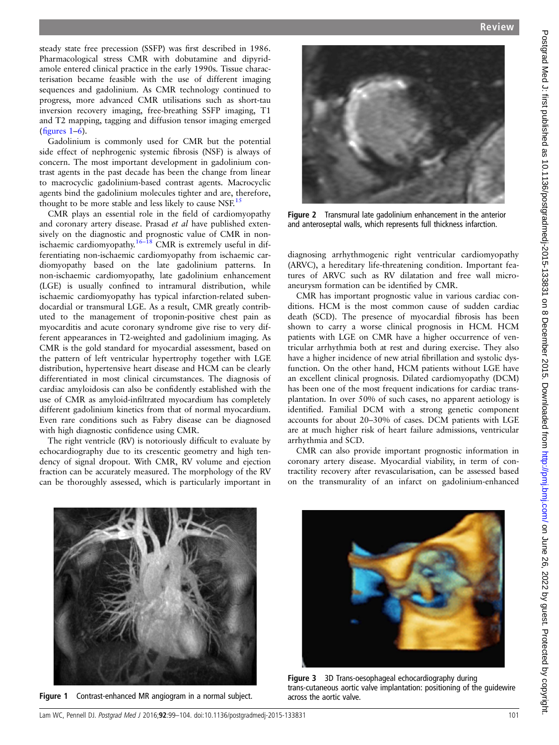steady state free precession (SSFP) was first described in 1986. Pharmacological stress CMR with dobutamine and dipyridamole entered clinical practice in the early 1990s. Tissue characterisation became feasible with the use of different imaging sequences and gadolinium. As CMR technology continued to progress, more advanced CMR utilisations such as short-tau inversion recovery imaging, free-breathing SSFP imaging, T1 and T2 mapping, tagging and diffusion tensor imaging emerged (figures  $1-6$ ).

Gadolinium is commonly used for CMR but the potential side effect of nephrogenic systemic fibrosis (NSF) is always of concern. The most important development in gadolinium contrast agents in the past decade has been the change from linear to macrocyclic gadolinium-based contrast agents. Macrocyclic agents bind the gadolinium molecules tighter and are, therefore, thought to be more stable and less likely to cause NSF.<sup>[15](#page-5-0)</sup>

CMR plays an essential role in the field of cardiomyopathy and coronary artery disease. Prasad et al have published extensively on the diagnostic and prognostic value of CMR in nonischaemic cardiomyopathy.[16](#page-5-0)–<sup>18</sup> CMR is extremely useful in differentiating non-ischaemic cardiomyopathy from ischaemic cardiomyopathy based on the late gadolinium patterns. In non-ischaemic cardiomyopathy, late gadolinium enhancement (LGE) is usually confined to intramural distribution, while ischaemic cardiomyopathy has typical infarction-related subendocardial or transmural LGE. As a result, CMR greatly contributed to the management of troponin-positive chest pain as myocarditis and acute coronary syndrome give rise to very different appearances in T2-weighted and gadolinium imaging. As CMR is the gold standard for myocardial assessment, based on the pattern of left ventricular hypertrophy together with LGE distribution, hypertensive heart disease and HCM can be clearly differentiated in most clinical circumstances. The diagnosis of cardiac amyloidosis can also be confidently established with the use of CMR as amyloid-infiltrated myocardium has completely different gadolinium kinetics from that of normal myocardium. Even rare conditions such as Fabry disease can be diagnosed with high diagnostic confidence using CMR.

The right ventricle (RV) is notoriously difficult to evaluate by echocardiography due to its crescentic geometry and high tendency of signal dropout. With CMR, RV volume and ejection fraction can be accurately measured. The morphology of the RV can be thoroughly assessed, which is particularly important in



Figure 2 Transmural late gadolinium enhancement in the anterior and anteroseptal walls, which represents full thickness infarction.

diagnosing arrhythmogenic right ventricular cardiomyopathy (ARVC), a hereditary life-threatening condition. Important features of ARVC such as RV dilatation and free wall microaneurysm formation can be identified by CMR.

CMR has important prognostic value in various cardiac conditions. HCM is the most common cause of sudden cardiac death (SCD). The presence of myocardial fibrosis has been shown to carry a worse clinical prognosis in HCM. HCM patients with LGE on CMR have a higher occurrence of ventricular arrhythmia both at rest and during exercise. They also have a higher incidence of new atrial fibrillation and systolic dysfunction. On the other hand, HCM patients without LGE have an excellent clinical prognosis. Dilated cardiomyopathy (DCM) has been one of the most frequent indications for cardiac transplantation. In over 50% of such cases, no apparent aetiology is identified. Familial DCM with a strong genetic component accounts for about 20–30% of cases. DCM patients with LGE are at much higher risk of heart failure admissions, ventricular arrhythmia and SCD.

CMR can also provide important prognostic information in coronary artery disease. Myocardial viability, in term of contractility recovery after revascularisation, can be assessed based on the transmurality of an infarct on gadolinium-enhanced



Figure 1 Contrast-enhanced MR angiogram in a normal subject. across the aortic valve.



Figure 3 3D Trans-oesophageal echocardiography during trans-cutaneous aortic valve implantation: positioning of the guidewire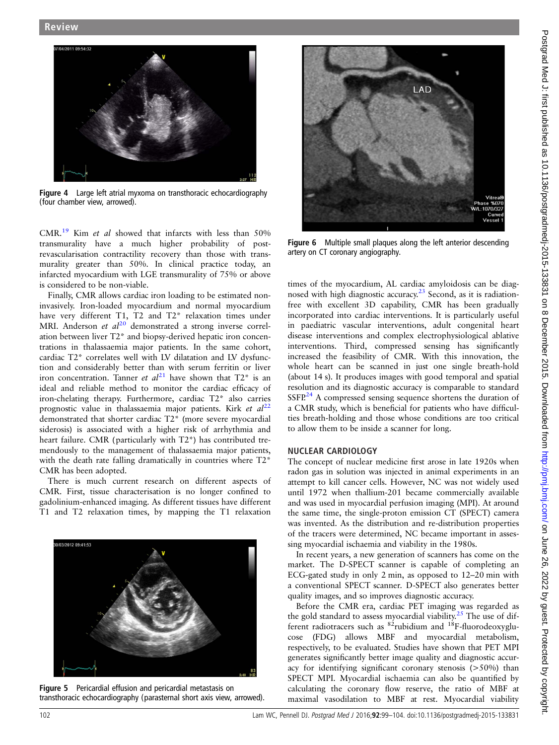<span id="page-3-0"></span>

Figure 4 Large left atrial myxoma on transthoracic echocardiography (four chamber view, arrowed).

CMR.[19](#page-5-0) Kim et al showed that infarcts with less than 50% transmurality have a much higher probability of postrevascularisation contractility recovery than those with transmurality greater than 50%. In clinical practice today, an infarcted myocardium with LGE transmurality of 75% or above is considered to be non-viable.

Finally, CMR allows cardiac iron loading to be estimated noninvasively. Iron-loaded myocardium and normal myocardium have very different T1, T2 and T2\* relaxation times under MRI. Anderson et  $al^{20}$  $al^{20}$  $al^{20}$  demonstrated a strong inverse correlation between liver T2\* and biopsy-derived hepatic iron concentrations in thalassaemia major patients. In the same cohort, cardiac T2\* correlates well with LV dilatation and LV dysfunction and considerably better than with serum ferritin or liver iron concentration. Tanner et  $al^{21}$  $al^{21}$  $al^{21}$  have shown that T2\* is an ideal and reliable method to monitor the cardiac efficacy of iron-chelating therapy. Furthermore, cardiac T2\* also carries prognostic value in thalassaemia major patients. Kirk et  $al^{22}$  $al^{22}$  $al^{22}$ demonstrated that shorter cardiac T2\* (more severe myocardial siderosis) is associated with a higher risk of arrhythmia and heart failure. CMR (particularly with T2<sup>\*</sup>) has contributed tremendously to the management of thalassaemia major patients, with the death rate falling dramatically in countries where  $T2^*$ CMR has been adopted.

There is much current research on different aspects of CMR. First, tissue characterisation is no longer confined to gadolinium-enhanced imaging. As different tissues have different T1 and T2 relaxation times, by mapping the T1 relaxation



Figure 5 Pericardial effusion and pericardial metastasis on transthoracic echocardiography (parasternal short axis view, arrowed).



Figure 6 Multiple small plaques along the left anterior descending artery on CT coronary angiography.

times of the myocardium, AL cardiac amyloidosis can be diag-nosed with high diagnostic accuracy.<sup>[23](#page-5-0)</sup> Second, as it is radiationfree with excellent 3D capability, CMR has been gradually incorporated into cardiac interventions. It is particularly useful in paediatric vascular interventions, adult congenital heart disease interventions and complex electrophysiological ablative interventions. Third, compressed sensing has significantly increased the feasibility of CMR. With this innovation, the whole heart can be scanned in just one single breath-hold (about 14 s). It produces images with good temporal and spatial resolution and its diagnostic accuracy is comparable to standard  $S<sup>24</sup>$  $S<sup>24</sup>$  $S<sup>24</sup>$  A compressed sensing sequence shortens the duration of a CMR study, which is beneficial for patients who have difficulties breath-holding and those whose conditions are too critical to allow them to be inside a scanner for long.

## NUCLEAR CARDIOLOGY

The concept of nuclear medicine first arose in late 1920s when radon gas in solution was injected in animal experiments in an attempt to kill cancer cells. However, NC was not widely used until 1972 when thallium-201 became commercially available and was used in myocardial perfusion imaging (MPI). At around the same time, the single-proton emission CT (SPECT) camera was invented. As the distribution and re-distribution properties of the tracers were determined, NC became important in assessing myocardial ischaemia and viability in the 1980s.

In recent years, a new generation of scanners has come on the market. The D-SPECT scanner is capable of completing an ECG-gated study in only 2 min, as opposed to 12–20 min with a conventional SPECT scanner. D-SPECT also generates better quality images, and so improves diagnostic accuracy.

Before the CMR era, cardiac PET imaging was regarded as the gold standard to assess myocardial viability.<sup>[25](#page-5-0)</sup> The use of different radiotracers such as  ${}^{82}$ rubidium and  ${}^{18}$ F-fluorodeoxyglucose (FDG) allows MBF and myocardial metabolism, respectively, to be evaluated. Studies have shown that PET MPI generates significantly better image quality and diagnostic accuracy for identifying significant coronary stenosis (>50%) than SPECT MPI. Myocardial ischaemia can also be quantified by calculating the coronary flow reserve, the ratio of MBF at maximal vasodilation to MBF at rest. Myocardial viability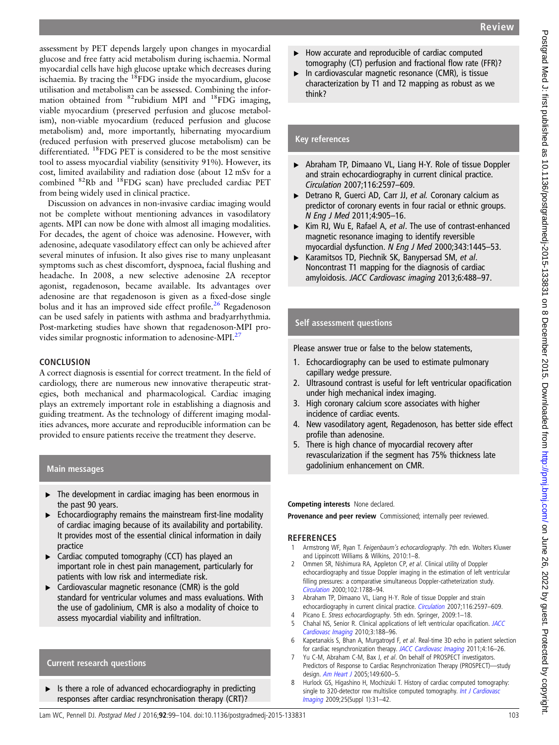<span id="page-4-0"></span>assessment by PET depends largely upon changes in myocardial glucose and free fatty acid metabolism during ischaemia. Normal myocardial cells have high glucose uptake which decreases during ischaemia. By tracing the <sup>18</sup>FDG inside the myocardium, glucose utilisation and metabolism can be assessed. Combining the information obtained from <sup>82</sup>rubidium MPI and <sup>18</sup>FDG imaging, viable myocardium (preserved perfusion and glucose metabolism), non-viable myocardium (reduced perfusion and glucose metabolism) and, more importantly, hibernating myocardium (reduced perfusion with preserved glucose metabolism) can be differentiated. 18FDG PET is considered to be the most sensitive tool to assess myocardial viability (sensitivity 91%). However, its cost, limited availability and radiation dose (about 12 mSv for a combined <sup>82</sup>Rb and <sup>18</sup>FDG scan) have precluded cardiac PET from being widely used in clinical practice.

Discussion on advances in non-invasive cardiac imaging would not be complete without mentioning advances in vasodilatory agents. MPI can now be done with almost all imaging modalities. For decades, the agent of choice was adenosine. However, with adenosine, adequate vasodilatory effect can only be achieved after several minutes of infusion. It also gives rise to many unpleasant symptoms such as chest discomfort, dyspnoea, facial flushing and headache. In 2008, a new selective adenosine 2A receptor agonist, regadenoson, became available. Its advantages over adenosine are that regadenoson is given as a fixed-dose single bolus and it has an improved side effect profile.<sup>26</sup> Regadenoson can be used safely in patients with asthma and bradyarrhythmia. Post-marketing studies have shown that regadenoson-MPI provides similar prognostic information to adenosine-MPI.[27](#page-5-0)

#### **CONCLUSION**

A correct diagnosis is essential for correct treatment. In the field of cardiology, there are numerous new innovative therapeutic strategies, both mechanical and pharmacological. Cardiac imaging plays an extremely important role in establishing a diagnosis and guiding treatment. As the technology of different imaging modalities advances, more accurate and reproducible information can be provided to ensure patients receive the treatment they deserve.

#### Main messages

- $\blacktriangleright$  The development in cardiac imaging has been enormous in the past 90 years.
- $\blacktriangleright$  Echocardiography remains the mainstream first-line modality of cardiac imaging because of its availability and portability. It provides most of the essential clinical information in daily practice
- ▸ Cardiac computed tomography (CCT) has played an important role in chest pain management, particularly for patients with low risk and intermediate risk.
- ▸ Cardiovascular magnetic resonance (CMR) is the gold standard for ventricular volumes and mass evaluations. With the use of gadolinium, CMR is also a modality of choice to assess myocardial viability and infiltration.

#### Current research questions

 $\triangleright$  Is there a role of advanced echocardiography in predicting responses after cardiac resynchronisation therapy (CRT)?

- ▸ How accurate and reproducible of cardiac computed tomography (CT) perfusion and fractional flow rate (FFR)?
- $\triangleright$  In cardiovascular magnetic resonance (CMR), is tissue characterization by T1 and T2 mapping as robust as we think?

## Key references

- ▸ Abraham TP, Dimaano VL, Liang H-Y. Role of tissue Doppler and strain echocardiography in current clinical practice. Circulation 2007;116:2597–609.
- ▶ Detrano R, Guerci AD, Carr JJ, et al. Coronary calcium as predictor of coronary events in four racial or ethnic groups. N Eng J Med 2011;4:905–16.
- $\triangleright$  Kim RJ, Wu E, Rafael A, et al. The use of contrast-enhanced magnetic resonance imaging to identify reversible myocardial dysfunction. N Eng J Med 2000;343:1445–53.
- ▸ Karamitsos TD, Piechnik SK, Banypersad SM, et al. Noncontrast T1 mapping for the diagnosis of cardiac amyloidosis. JACC Cardiovasc imaging 2013;6:488–97.

## Self assessment questions

Please answer true or false to the below statements,

- 1. Echocardiography can be used to estimate pulmonary capillary wedge pressure.
- 2. Ultrasound contrast is useful for left ventricular opacification under high mechanical index imaging.
- 3. High coronary calcium score associates with higher incidence of cardiac events.
- 4. New vasodilatory agent, Regadenoson, has better side effect profile than adenosine.
- 5. There is high chance of myocardial recovery after revascularization if the segment has 75% thickness late gadolinium enhancement on CMR.

Competing interests None declared.

Provenance and peer review Commissioned; internally peer reviewed.

#### **REFERENCES**

- 1 Armstrong WF, Ryan T. Feigenbaum's echocardiography. 7th edn. Wolters Kluwer and Lippincott Williams & Wilkins, 2010:1–8.
- 2 Ommen SR, Nishimura RA, Appleton CP, et al. Clinical utility of Doppler echocardiography and tissue Doppler imaging in the estimation of left ventricular filling pressures: a comparative simultaneous Doppler-catheterization study. [Circulation](http://dx.doi.org/10.1161/01.CIR.102.15.1788) 2000;102:1788–94.
- Abraham TP, Dimaano VL, Liang H-Y. Role of tissue Doppler and strain echocardiography in current clinical practice. [Circulation](http://dx.doi.org/10.1161/CIRCULATIONAHA.106.647172) 2007;116:2597-609.
- 4 Picano E. Stress echocardiography. 5th edn. Springer, 2009:1–18.
- 5 Chahal NS, Senior R. Clinical applications of left ventricular opacification. [JACC](http://dx.doi.org/10.1016/j.jcmg.2009.09.022) [Cardiovasc Imaging](http://dx.doi.org/10.1016/j.jcmg.2009.09.022) 2010;3:188–96.
- 6 Kapetanakis S, Bhan A, Murgatroyd F, et al. Real-time 3D echo in patient selection for cardiac resynchronization therapy. [JACC Cardiovasc Imaging](http://dx.doi.org/10.1016/j.jcmg.2010.09.021) 2011;4:16–26.
- 7 Yu C-M, Abraham C-M, Bax J, et al. On behalf of PROSPECT investigators. Predictors of Response to Cardiac Resynchronization Therapy (PROSPECT)—study design. [Am Heart J](http://dx.doi.org/10.1016/j.ahj.2004.12.013) 2005;149:600-5.
- Hurlock GS, Higashino H, Mochizuki T. History of cardiac computed tomography: single to 320-detector row multislice computed tomography. [Int J Cardiovasc](http://dx.doi.org/10.1007/s10554-008-9408-z) [Imaging](http://dx.doi.org/10.1007/s10554-008-9408-z) 2009;25(Suppl 1):31–42.